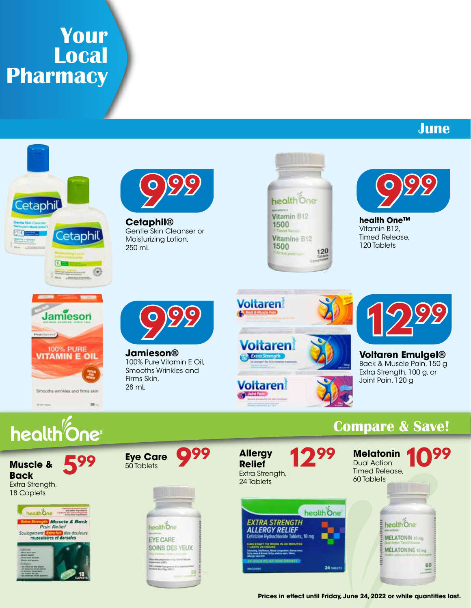# **Your Local Pharmacy**

## **June**





**Cetaphil®** Gentle Skin Cleanser or Moisturizing Lotion, 250 mL





**health One™** Vitamin B12, Timed Release, 120 Tablets



 $28 -$ 

**999**

**Jamieson®** 100% Pure Vitamin E Oil, Smooths Wrinkles and Firms Skin, 28 mL





**Voltaren Emulgel®** Back & Muscle Pain, 150 g Extra Strength, 100 g, or Joint Pain, 120 g

## **Compare & Save!**



health<sup>%</sup>One

**Muscle & Back** Extra Strength, 18 Caplets



**Eye Care** 50 Tablets



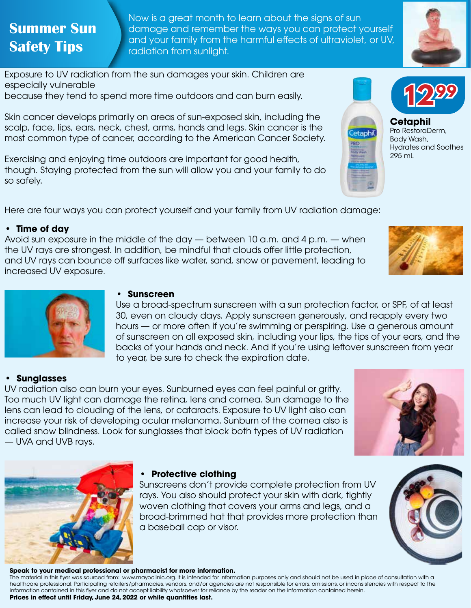## **Summer Sun Safety Tips**

Now is a great month to learn about the signs of sun damage and remember the ways you can protect yourself and your family from the harmful effects of ultraviolet, or UV, radiation from sunlight.



**1299**

Hydrates and Soothes

**Cetaphil** Pro RestoraDerm, Body Wash,

295 mL

etaphil

Exposure to UV radiation from the sun damages your skin. Children are especially vulnerable

because they tend to spend more time outdoors and can burn easily.

Skin cancer develops primarily on areas of sun-exposed skin, including the scalp, face, lips, ears, neck, chest, arms, hands and legs. Skin cancer is the most common type of cancer, according to the American Cancer Society.

Exercising and enjoying time outdoors are important for good health, though. Staying protected from the sun will allow you and your family to do so safely.

**• Sunscreen**

Here are four ways you can protect yourself and your family from UV radiation damage:

#### **• Time of day**

Avoid sun exposure in the middle of the day — between 10 a.m. and 4 p.m. — when the UV rays are strongest. In addition, be mindful that clouds offer little protection, and UV rays can bounce off surfaces like water, sand, snow or pavement, leading to increased UV exposure.

to year, be sure to check the expiration date.





#### **• Sunglasses**

UV radiation also can burn your eyes. Sunburned eyes can feel painful or gritty. Too much UV light can damage the retina, lens and cornea. Sun damage to the lens can lead to clouding of the lens, or cataracts. Exposure to UV light also can increase your risk of developing ocular melanoma. Sunburn of the cornea also is called snow blindness. Look for sunglasses that block both types of UV radiation — UVA and UVB rays.





### **• Protective clothing**

Sunscreens don't provide complete protection from UV rays. You also should protect your skin with dark, tightly woven clothing that covers your arms and legs, and a broad-brimmed hat that provides more protection than a baseball cap or visor.

Use a broad-spectrum sunscreen with a sun protection factor, or SPF, of at least 30, even on cloudy days. Apply sunscreen generously, and reapply every two hours — or more often if you're swimming or perspiring. Use a generous amount of sunscreen on all exposed skin, including your lips, the tips of your ears, and the backs of your hands and neck. And if you're using leftover sunscreen from year

#### **Speak to your medical professional or pharmacist for more information.**

The material in this flyer was sourced from: www.mayoclinic.org. It is intended for information purposes only and should not be used in place of consultation with a healthcare professional. Participating retailers/pharmacies, vendors, and/or agencies are not responsible for errors, omissions, or inconsistencies with respect to the information contained in this flyer and do not accept liability whatsoever for reliance by the reader on the information contained herein. **Prices in effect until Friday, June 24, 2022 or while quantities last.**

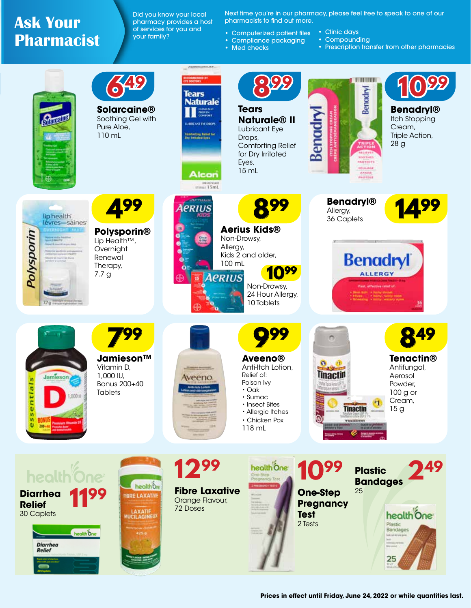## **Ask Your Pharmacist**

Did you know your local pharmacy provides a host of services for you and your family?

Next time you're in our pharmacy, please feel free to speak to one of our pharmacists to find out more.

- Computerized patient files • Clinic days
- Compliance packaging • Compounding
	- Prescription transfer from other pharmacies